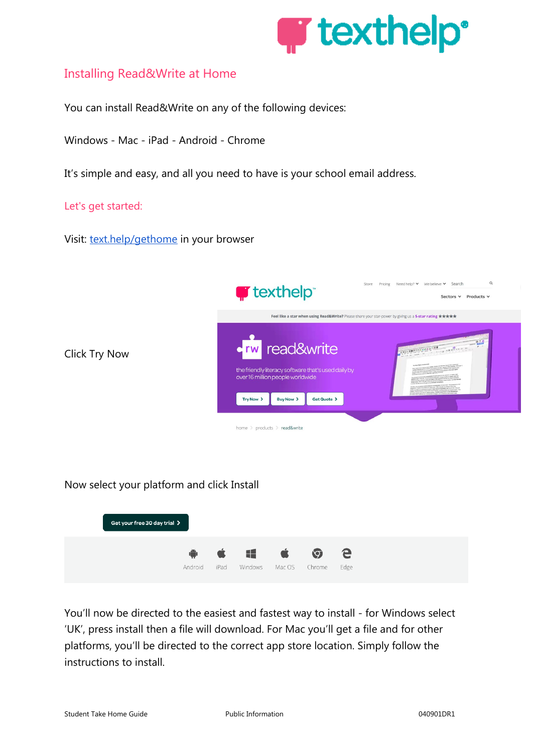

### Installing Read&Write at Home

You can install Read&Write on any of the following devices:

Windows - Mac - iPad - Android - Chrome

It's simple and easy, and all you need to have is your school email address.

Let's get started:

Visit: [text.help/gethome](http://text.help/gethome) in your browser



### Now select your platform and click Install



You'll now be directed to the easiest and fastest way to install - for Windows select 'UK', press install then a file will download. For Mac you'll get a file and for other platforms, you'll be directed to the correct app store location. Simply follow the instructions to install.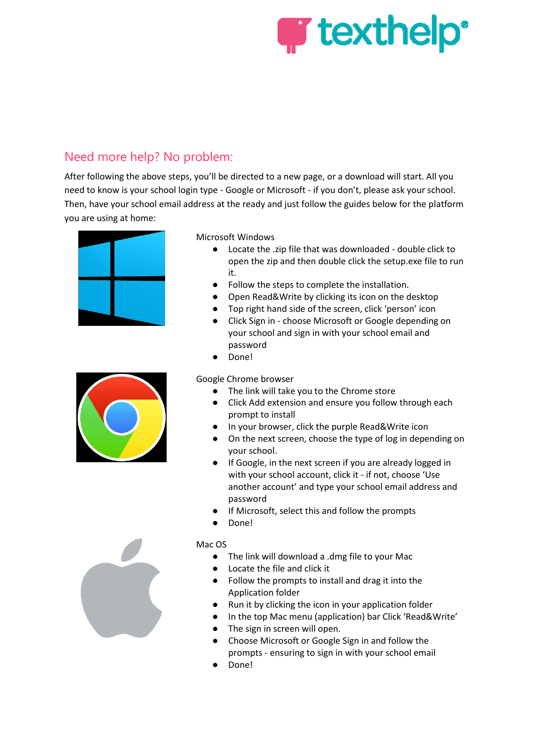

# Need more help? No problem:

After following the above steps, you'll be directed to a new page, or a download will start. All you need to know is your school login type - Google or Microsoft - if you don't, please ask your school. Then, have your school email address at the ready and just follow the guides below for the platform you are using at home:





Microsoft Windows

- Locate the .zip file that was downloaded double click to open the zip and then double click the setup.exe file to run it.
- Follow the steps to complete the installation.
- Open Read&Write by clicking its icon on the desktop
- Top right hand side of the screen, click 'person' icon
- Click Sign in choose Microsoft or Google depending on your school and sign in with your school email and password
- Done!

Google Chrome browser

- The link will take you to the Chrome store
- Click Add extension and ensure you follow through each prompt to install
- In your browser, click the purple Read&Write icon
- On the next screen, choose the type of log in depending on your school.
- If Google, in the next screen if you are already logged in with your school account, click it - if not, choose 'Use another account' and type your school email address and password
- If Microsoft, select this and follow the prompts
- Done!

#### Mac OS

- The link will download a .dmg file to your Mac
- Locate the file and click it
- Follow the prompts to install and drag it into the Application folder
- Run it by clicking the icon in your application folder
- In the top Mac menu (application) bar Click 'Read&Write'
- The sign in screen will open.
- Choose Microsoft or Google Sign in and follow the prompts - ensuring to sign in with your school email
- Done!